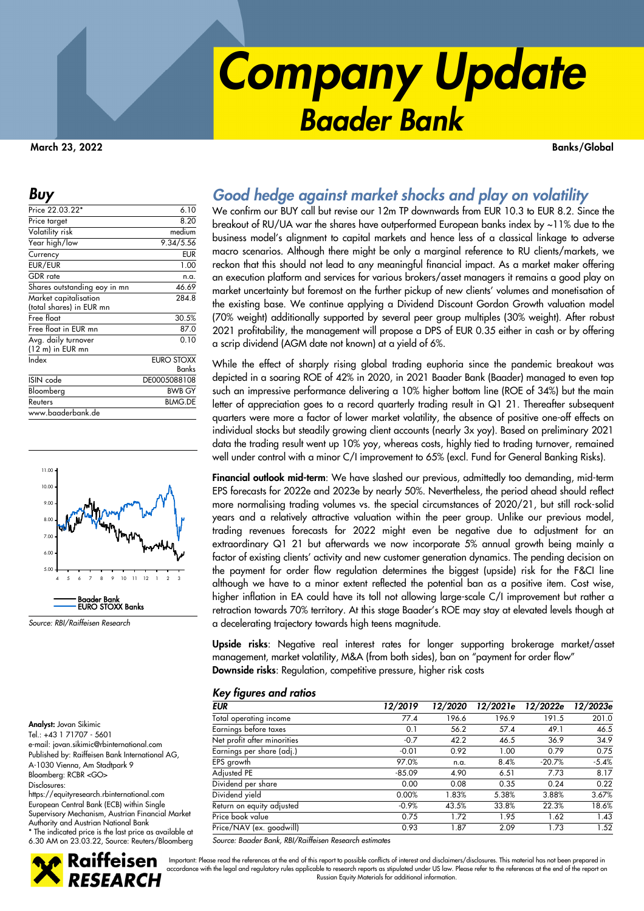# *Company Update Baader Bank*

**March 23, 2022 Banks/Global** 

| Price 22.03.22*                                   | 6.10                |
|---------------------------------------------------|---------------------|
| Price target                                      | 8.20                |
| Volatility risk                                   | medium              |
| Year high/low                                     | 9.34/5.56           |
| Currency                                          | <b>EUR</b>          |
| EUR/EUR                                           | 1.00                |
| <b>GDR</b> rate                                   | n.a.                |
| Shares outstanding eoy in mn                      | 46.69               |
| Market capitalisation<br>(total shares) in EUR mn | 284.8               |
| Free float                                        | 30.5%               |
| Free float in EUR mn                              | 87.0                |
| Avg. daily turnover<br>(12 m) in EUR mn           | 0.10                |
| Index                                             | EURO STOXX<br>Banks |
| ISIN code                                         | DE0005088108        |
| Bloomberg                                         | <b>BWB GY</b>       |
| Reuters                                           | <b>BLMG.DE</b>      |
| www.baaderbank.de                                 |                     |



*Source: RBI/Raiffeisen Research* 

**Analyst:** Jovan Sikimic Tel.: +43 1 71707 - 5601

### *Buy Good hedge against market shocks and play on volatility*

We confirm our BUY call but revise our 12m TP downwards from EUR 10.3 to EUR 8.2. Since the breakout of RU/UA war the shares have outperformed European banks index by ~11% due to the business model's alignment to capital markets and hence less of a classical linkage to adverse macro scenarios. Although there might be only a marginal reference to RU clients/markets, we reckon that this should not lead to any meaningful financial impact. As a market maker offering an execution platform and services for various brokers/asset managers it remains a good play on market uncertainty but foremost on the further pickup of new clients' volumes and monetisation of the existing base. We continue applying a Dividend Discount Gordon Growth valuation model (70% weight) additionally supported by several peer group multiples (30% weight). After robust 2021 profitability, the management will propose a DPS of EUR 0.35 either in cash or by offering a scrip dividend (AGM date not known) at a yield of 6%.

While the effect of sharply rising global trading euphoria since the pandemic breakout was depicted in a soaring ROE of 42% in 2020, in 2021 Baader Bank (Baader) managed to even top such an impressive performance delivering a 10% higher bottom line (ROE of 34%) but the main letter of appreciation goes to a record quarterly trading result in Q1 21. Thereafter subsequent quarters were more a factor of lower market volatility, the absence of positive one-off effects on individual stocks but steadily growing client accounts (nearly 3x yoy). Based on preliminary 2021 data the trading result went up 10% yoy, whereas costs, highly tied to trading turnover, remained well under control with a minor C/I improvement to 65% (excl. Fund for General Banking Risks).

**Financial outlook mid-term**: We have slashed our previous, admittedly too demanding, mid-term EPS forecasts for 2022e and 2023e by nearly 50%. Nevertheless, the period ahead should reflect more normalising trading volumes vs. the special circumstances of 2020/21, but still rock-solid years and a relatively attractive valuation within the peer group. Unlike our previous model, trading revenues forecasts for 2022 might even be negative due to adjustment for an extraordinary Q1 21 but afterwards we now incorporate 5% annual growth being mainly a factor of existing clients' activity and new customer generation dynamics. The pending decision on the payment for order flow regulation determines the biggest (upside) risk for the F&CI line although we have to a minor extent reflected the potential ban as a positive item. Cost wise, higher inflation in EA could have its toll not allowing large-scale C/I improvement but rather a retraction towards 70% territory. At this stage Baader's ROE may stay at elevated levels though at a decelerating trajectory towards high teens magnitude.

**Upside risks**: Negative real interest rates for longer supporting brokerage market/asset management, market volatility, M&A (from both sides), ban on "payment for order flow" **Downside risks**: Regulation, competitive pressure, higher risk costs

#### *Key figures and ratios*

| <b>EUR</b>                  | 12/2019  | 12/2020 | 12/2021e | 12/2022e | 12/2023e |
|-----------------------------|----------|---------|----------|----------|----------|
| Total operating income      | 77.4     | 196.6   | 196.9    | 191.5    | 201.0    |
| Earnings before taxes       | 0.1      | 56.2    | 57.4     | 49.1     | 46.5     |
| Net profit after minorities | $-0.7$   | 42.2    | 46.5     | 36.9     | 34.9     |
| Earnings per share (adj.)   | $-0.01$  | 0.92    | 1.00     | 0.79     | 0.75     |
| EPS growth                  | 97.0%    | n.a.    | 8.4%     | $-20.7%$ | $-5.4%$  |
| Adjusted PE                 | $-85.09$ | 4.90    | 6.51     | 7.73     | 8.17     |
| Dividend per share          | 0.00     | 0.08    | 0.35     | 0.24     | 0.22     |
| Dividend yield              | 0.00%    | 1.83%   | 5.38%    | 3.88%    | 3.67%    |
| Return on equity adjusted   | $-0.9%$  | 43.5%   | 33.8%    | 22.3%    | 18.6%    |
| Price book value            | 0.75     | 1.72    | 1.95     | 1.62     | 1.43     |
| Price/NAV (ex. goodwill)    | 0.93     | 1.87    | 2.09     | 1.73     | 1.52     |

*Source: Baader Bank, RBI/Raiffeisen Research estimates*

e-mail: jovan.sikimic@rbinternational.com Published by: Raiffeisen Bank International AG, A-1030 Vienna, Am Stadtpark 9 Bloomberg: RCBR <GO> Disclosures: https://equityresearch.rbinternational.com European Central Bank (ECB) within Single Supervisory Mechanism, Austrian Financial Market

Authority and Austrian National Bank \* The indicated price is the last price as available at 6.30 AM on 23.03.22, Source: Reuters/Bloomberg



Important: Please read the references at the end of this report to possible conflicts of interest and disclaimers/disclosures. This material has not been prepared in accordance with the legal and regulatory rules applicable to research reports as stipulated under US law. Please refer to the references at the end of the report on Russian Equity Materials for additional information.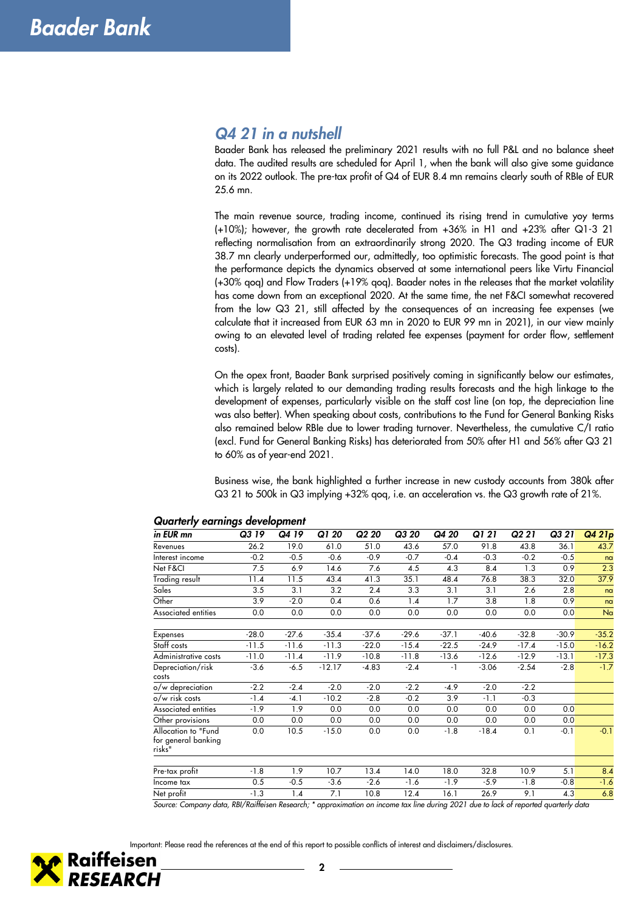### *Q4 21 in a nutshell*

Baader Bank has released the preliminary 2021 results with no full P&L and no balance sheet data. The audited results are scheduled for April 1, when the bank will also give some guidance on its 2022 outlook. The pre-tax profit of Q4 of EUR 8.4 mn remains clearly south of RBIe of EUR 25.6 mn.

The main revenue source, trading income, continued its rising trend in cumulative yoy terms (+10%); however, the growth rate decelerated from +36% in H1 and +23% after Q1-3 21 reflecting normalisation from an extraordinarily strong 2020. The Q3 trading income of EUR 38.7 mn clearly underperformed our, admittedly, too optimistic forecasts. The good point is that the performance depicts the dynamics observed at some international peers like Virtu Financial (+30% qoq) and Flow Traders (+19% qoq). Baader notes in the releases that the market volatility has come down from an exceptional 2020. At the same time, the net F&CI somewhat recovered from the low Q3 21, still affected by the consequences of an increasing fee expenses (we calculate that it increased from EUR 63 mn in 2020 to EUR 99 mn in 2021), in our view mainly owing to an elevated level of trading related fee expenses (payment for order flow, settlement costs).

On the opex front, Baader Bank surprised positively coming in significantly below our estimates, which is largely related to our demanding trading results forecasts and the high linkage to the development of expenses, particularly visible on the staff cost line (on top, the depreciation line was also better). When speaking about costs, contributions to the Fund for General Banking Risks also remained below RBIe due to lower trading turnover. Nevertheless, the cumulative C/I ratio (excl. Fund for General Banking Risks) has deteriorated from 50% after H1 and 56% after Q3 21 to 60% as of year-end 2021.

Business wise, the bank highlighted a further increase in new custody accounts from 380k after Q3 21 to 500k in Q3 implying +32% qoq, i.e. an acceleration vs. the Q3 growth rate of 21%.

| in EUR mn                                            | Q3 19         | Q4 19   | Q1 20        | Q <sub>2</sub> 20 | Q3 20           | Q4 20              | Q1 21   | Q2 21   | Q3 21                           | Q4 21p         |
|------------------------------------------------------|---------------|---------|--------------|-------------------|-----------------|--------------------|---------|---------|---------------------------------|----------------|
| Revenues                                             | 26.2          | 19.0    | 61.0         | 51.0              | 43.6            | 57.0               | 91.8    | 43.8    | 36.1                            | 43.7           |
| Interest income                                      | $-0.2$        | $-0.5$  | $-0.6$       | $-0.9$            | $-0.7$          | $-0.4$             | $-0.3$  | $-0.2$  | $-0.5$                          | nq             |
| Net F&Cl                                             | 7.5           | 6.9     | 14.6         | 7.6               | 4.5             | 4.3                | 8.4     | 1.3     | 0.9                             | 2.3            |
| Trading result                                       | 11.4          | 11.5    | 43.4         | 41.3              | 35.1            | 48.4               | 76.8    | 38.3    | 32.0                            | 37.9           |
| Sales                                                | 3.5           | 3.1     | 3.2          | 2.4               | 3.3             | 3.1                | 3.1     | 2.6     | 2.8                             | nq             |
| Other                                                | 3.9           | $-2.0$  | 0.4          | 0.6               | 1.4             | 1.7                | 3.8     | 1.8     | 0.9                             | n <sub>a</sub> |
| Associated entities                                  | 0.0           | 0.0     | 0.0          | 0.0               | 0.0             | 0.0                | 0.0     | 0.0     | 0.0                             | Na             |
| <b>Expenses</b>                                      | $-28.0$       | $-27.6$ | $-35.4$      | $-37.6$           | $-29.6$         | $-37.1$            | $-40.6$ | $-32.8$ | $-30.9$                         | $-35.2$        |
| Staff costs                                          | $-11.5$       | $-11.6$ | $-11.3$      | $-22.0$           | $-15.4$         | $-22.5$            | $-24.9$ | $-17.4$ | $-15.0$                         | $-16.2$        |
| Administrative costs                                 | $-11.0$       | $-11.4$ | $-11.9$      | $-10.8$           | $-11.8$         | $-13.6$            | $-12.6$ | $-12.9$ | $-13.1$                         | $-17.3$        |
| Depreciation/risk<br>costs                           | $-3.6$        | $-6.5$  | $-12.17$     | $-4.83$           | $-2.4$          | $-1$               | $-3.06$ | $-2.54$ | $-2.8$                          | $-1.7$         |
| o/w depreciation                                     | $-2.2$        | $-2.4$  | $-2.0$       | $-2.0$            | $-2.2$          | $-4.9$             | $-2.0$  | $-2.2$  |                                 |                |
| o/w risk costs                                       | $-1.4$        | $-4.1$  | $-10.2$      | $-2.8$            | $-0.2$          | 3.9                | $-1.1$  | $-0.3$  |                                 |                |
| Associated entities                                  | $-1.9$        | 1.9     | 0.0          | 0.0               | 0.0             | 0.0                | 0.0     | 0.0     | 0.0                             |                |
| Other provisions                                     | 0.0           | 0.0     | 0.0          | 0.0               | 0.0             | 0.0                | 0.0     | 0.0     | 0.0                             |                |
| Allocation to "Fund<br>for general banking<br>risks" | 0.0           | 10.5    | $-15.0$      | 0.0               | 0.0             | $-1.8$             | $-18.4$ | 0.1     | $-0.1$                          | $-0.1$         |
| Pre-tax profit                                       | $-1.8$        | 1.9     | 10.7         | 13.4              | 14.0            | 18.0               | 32.8    | 10.9    | 5.1                             | 8.4            |
| Income tax                                           | 0.5           | $-0.5$  | $-3.6$       | $-2.6$            | $-1.6$          | $-1.9$             | $-5.9$  | $-1.8$  | $-0.8$                          | $-1.6$         |
| Net profit                                           | $-1.3$        | 1.4     | 7.1          | 10.8              | 12.4            | 16.1               | 26.9    | 9.1     | 4.3                             | 6.8            |
| $\mathbf{I}$ .<br>$\sim$ $\sim$                      | $nn/2$ $(n +$ | $\sim$  | $\mathbf{1}$ |                   | $\cdot$ $\cdot$ | $\cdots$<br>0.0011 | .       |         | $\cdot$ $\cdot$ $\cdot$ $\cdot$ |                |

#### *Quarterly earnings development*

*Source: Company data, RBI/Raiffeisen Research; \* approximation on income tax line during 2021 due to lack of reported quarterly data* 



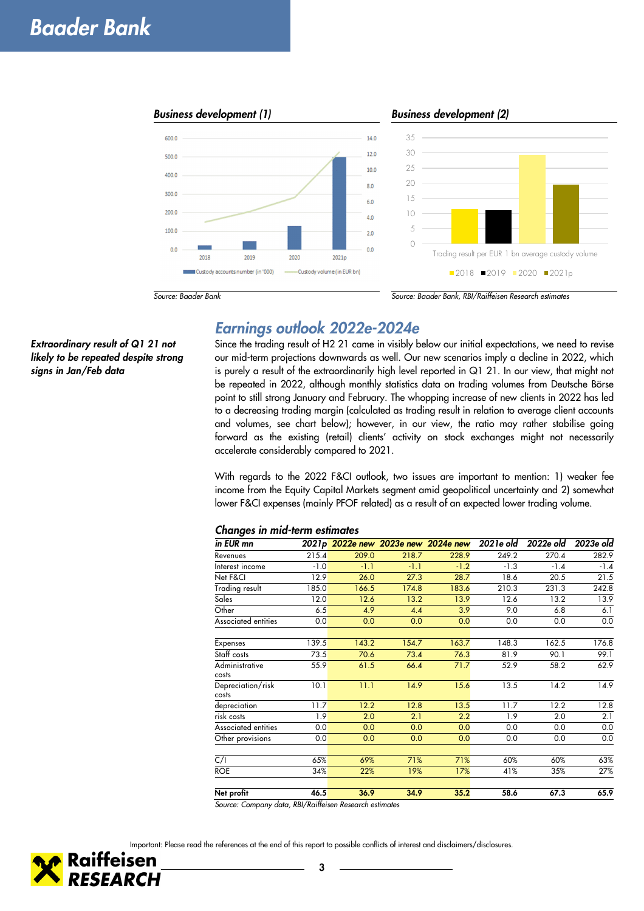## *Baader Bank*

*Extraordinary result of Q1 21 not likely to be repeated despite strong* 

*signs in Jan/Feb data* 



### *Earnings outlook 2022e-2024e*

Since the trading result of H2 21 came in visibly below our initial expectations, we need to revise our mid-term projections downwards as well. Our new scenarios imply a decline in 2022, which is purely a result of the extraordinarily high level reported in Q1 21. In our view, that might not be repeated in 2022, although monthly statistics data on trading volumes from Deutsche Börse point to still strong January and February. The whopping increase of new clients in 2022 has led to a decreasing trading margin (calculated as trading result in relation to average client accounts and volumes, see chart below); however, in our view, the ratio may rather stabilise going forward as the existing (retail) clients' activity on stock exchanges might not necessarily accelerate considerably compared to 2021.

With regards to the 2022 F&CI outlook, two issues are important to mention: 1) weaker fee income from the Equity Capital Markets segment amid geopolitical uncertainty and 2) somewhat lower F&CI expenses (mainly PFOF related) as a result of an expected lower trading volume.

#### *Changes in mid-term estimates*

| ັ<br>in EUR mn             |        |        |        | 2021p 2022e new 2023e new 2024e new 2021e old |        | 2022e old | 2023e old |
|----------------------------|--------|--------|--------|-----------------------------------------------|--------|-----------|-----------|
| Revenues                   | 215.4  | 209.0  | 218.7  | 228.9                                         | 249.2  | 270.4     | 282.9     |
| Interest income            | $-1.0$ | $-1.1$ | $-1.1$ | $-1.2$                                        | $-1.3$ | $-1.4$    | $-1.4$    |
| Net F&CI                   | 12.9   | 26.0   | 27.3   | 28.7                                          | 18.6   | 20.5      | 21.5      |
| Trading result             | 185.0  | 166.5  | 174.8  | 183.6                                         | 210.3  | 231.3     | 242.8     |
| Sales                      | 12.0   | 12.6   | 13.2   | 13.9                                          | 12.6   | 13.2      | 13.9      |
| Other                      | 6.5    | 4.9    | 4.4    | 3.9                                           | 9.0    | 6.8       | 6.1       |
| Associated entities        | 0.0    | 0.0    | 0.0    | 0.0                                           | 0.0    | 0.0       | 0.0       |
|                            |        |        |        |                                               |        |           |           |
| Expenses                   | 139.5  | 143.2  | 154.7  | 163.7                                         | 148.3  | 162.5     | 176.8     |
| Staff costs                | 73.5   | 70.6   | 73.4   | 76.3                                          | 81.9   | 90.1      | 99.1      |
| Administrative             | 55.9   | 61.5   | 66.4   | 71.7                                          | 52.9   | 58.2      | 62.9      |
| costs                      |        |        |        |                                               |        |           |           |
| Depreciation/risk<br>costs | 10.1   | 11.1   | 14.9   | 15.6                                          | 13.5   | 14.2      | 14.9      |
| depreciation               | 11.7   | 12.2   | 12.8   | 13.5                                          | 11.7   | 12.2      | 12.8      |
| risk costs                 | 1.9    | 2.0    | 2.1    | 2.2                                           | 1.9    | 2.0       | 2.1       |
| Associated entities        | 0.0    | 0.0    | 0.0    | 0.0                                           | 0.0    | 0.0       | 0.0       |
| Other provisions           | 0.0    | 0.0    | 0.0    | 0.0                                           | 0.0    | 0.0       | 0.0       |
|                            |        |        |        |                                               |        |           |           |
| C/I                        | 65%    | 69%    | 71%    | 71%                                           | 60%    | 60%       | 63%       |
| <b>ROE</b>                 | 34%    | 22%    | 19%    | 17%                                           | 41%    | 35%       | 27%       |
| Net profit                 | 46.5   | 36.9   | 34.9   | 35.2                                          | 58.6   | 67.3      | 65.9      |

*Source: Company data, RBI/Raiffeisen Research estimates* 

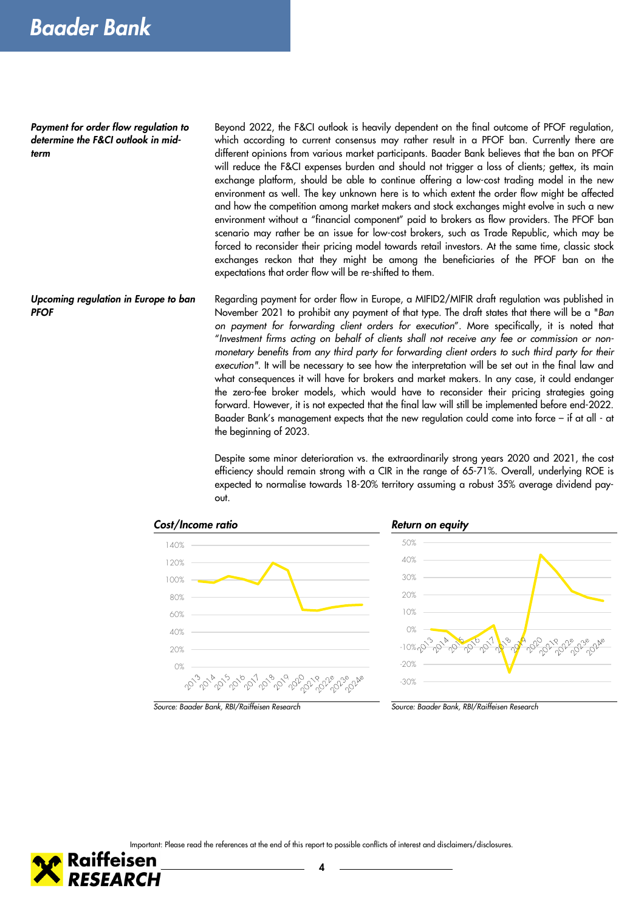*Payment for order flow regulation to determine the F&CI outlook in midterm* 

Beyond 2022, the F&CI outlook is heavily dependent on the final outcome of PFOF regulation, which according to current consensus may rather result in a PFOF ban. Currently there are different opinions from various market participants. Baader Bank believes that the ban on PFOF will reduce the F&CI expenses burden and should not trigger a loss of clients; gettex, its main exchange platform, should be able to continue offering a low-cost trading model in the new environment as well. The key unknown here is to which extent the order flow might be affected and how the competition among market makers and stock exchanges might evolve in such a new environment without a "financial component" paid to brokers as flow providers. The PFOF ban scenario may rather be an issue for low-cost brokers, such as Trade Republic, which may be forced to reconsider their pricing model towards retail investors. At the same time, classic stock exchanges reckon that they might be among the beneficiaries of the PFOF ban on the expectations that order flow will be re-shifted to them.

Regarding payment for order flow in Europe, a MIFID2/MIFIR draft regulation was published in November 2021 to prohibit any payment of that type. The draft states that there will be a "*Ban on payment for forwarding client orders for execution*". More specifically, it is noted that "*Investment firms acting on behalf of clients shall not receive any fee or commission or nonmonetary benefits from any third party for forwarding client orders to such third party for their execution".* It will be necessary to see how the interpretation will be set out in the final law and what consequences it will have for brokers and market makers. In any case, it could endanger the zero-fee broker models, which would have to reconsider their pricing strategies going forward. However, it is not expected that the final law will still be implemented before end-2022. Baader Bank's management expects that the new regulation could come into force – if at all - at the beginning of 2023. *Upcoming regulation in Europe to ban PFOF* 

> Despite some minor deterioration vs. the extraordinarily strong years 2020 and 2021, the cost efficiency should remain strong with a CIR in the range of 65-71%. Overall, underlying ROE is expected to normalise towards 18-20% territory assuming a robust 35% average dividend payout.





*Source: Baader Bank, RBI/Raiffeisen Research Source: Baader Bank, RBI/Raiffeisen Research*

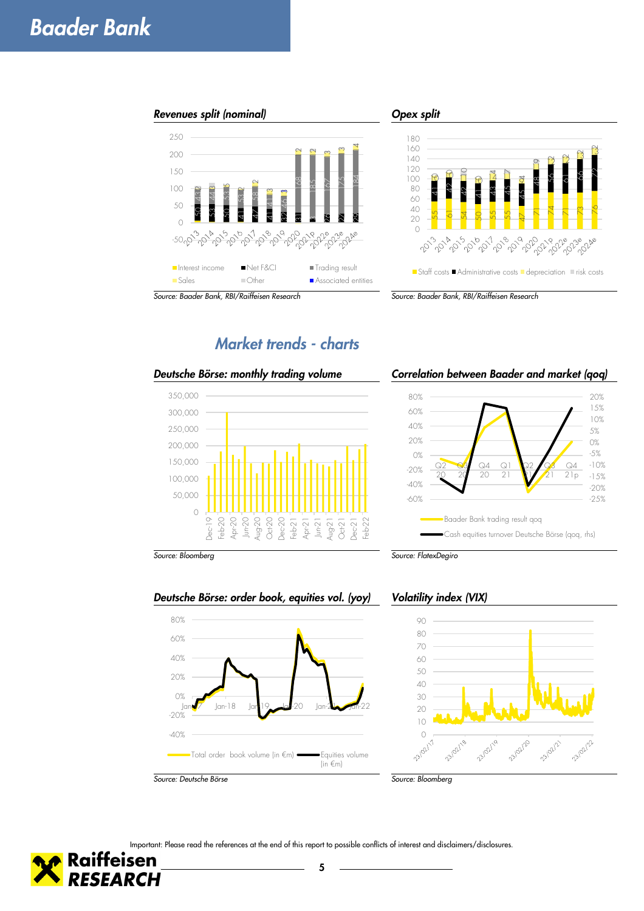



*Market trends - charts* 



*Deutsche Börse: monthly trading volume Correlation between Baader and market (qoq)*



*Source: Bloomberg Source: FlatexDegiro*



Jan-17 Jan-18 Jan-19 Jan-20 Jan-21 Jan-22

Total order book volume (in €m) Equities volume



-40% -20% 0% 20% 40% 60% 80%

Important: Please read the references at the end of this report to possible conflicts of interest and disclaimers/disclosures.

 $(in \in m)$ 

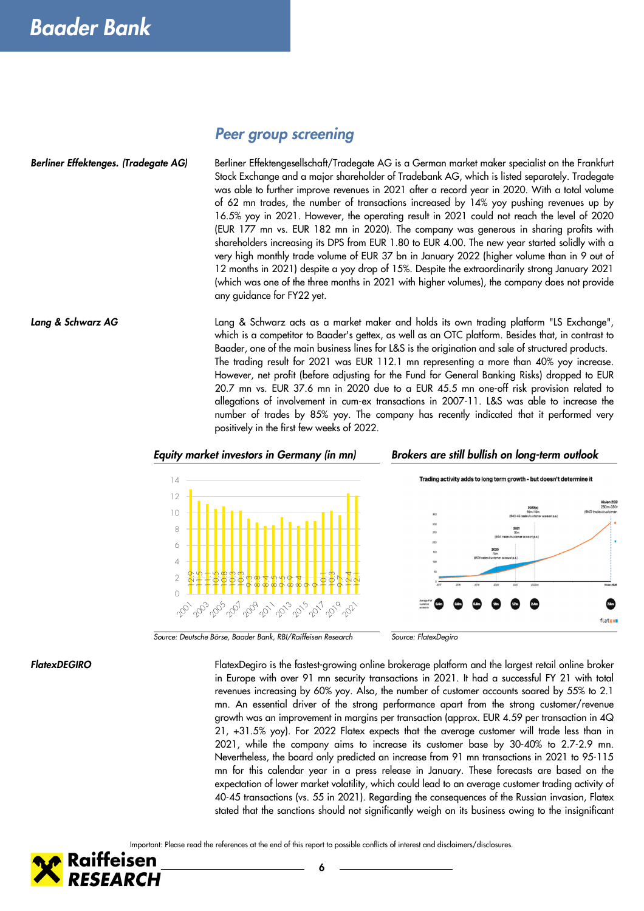### *Peer group screening*

Berliner Effektengesellschaft/Tradegate AG is a German market maker specialist on the Frankfurt Stock Exchange and a major shareholder of Tradebank AG, which is listed separately. Tradegate was able to further improve revenues in 2021 after a record year in 2020. With a total volume of 62 mn trades, the number of transactions increased by 14% yoy pushing revenues up by 16.5% yoy in 2021. However, the operating result in 2021 could not reach the level of 2020 (EUR 177 mn vs. EUR 182 mn in 2020). The company was generous in sharing profits with shareholders increasing its DPS from EUR 1.80 to EUR 4.00. The new year started solidly with a very high monthly trade volume of EUR 37 bn in January 2022 (higher volume than in 9 out of 12 months in 2021) despite a yoy drop of 15%. Despite the extraordinarily strong January 2021 (which was one of the three months in 2021 with higher volumes), the company does not provide any guidance for FY22 yet. *Berliner Effektenges. (Tradegate AG)* 

Lang & Schwarz acts as a market maker and holds its own trading platform "LS Exchange", which is a competitor to Baader's gettex, as well as an OTC platform. Besides that, in contrast to Baader, one of the main business lines for L&S is the origination and sale of structured products. The trading result for 2021 was EUR 112.1 mn representing a more than 40% yoy increase. However, net profit (before adjusting for the Fund for General Banking Risks) dropped to EUR 20.7 mn vs. EUR 37.6 mn in 2020 due to a EUR 45.5 mn one-off risk provision related to allegations of involvement in cum-ex transactions in 2007-11. L&S was able to increase the number of trades by 85% yoy. The company has recently indicated that it performed very positively in the first few weeks of 2022. *Lang & Schwarz AG*



*Source: Deutsche Börse, Baader Bank, RBI/Raiffeisen Research Source: FlatexDegiro*

#### *FlatexDEGIRO*

FlatexDegiro is the fastest-growing online brokerage platform and the largest retail online broker in Europe with over 91 mn security transactions in 2021. It had a successful FY 21 with total revenues increasing by 60% yoy. Also, the number of customer accounts soared by 55% to 2.1 mn. An essential driver of the strong performance apart from the strong customer/revenue growth was an improvement in margins per transaction (approx. EUR 4.59 per transaction in 4Q 21, +31.5% yoy). For 2022 Flatex expects that the average customer will trade less than in 2021, while the company aims to increase its customer base by 30-40% to 2.7-2.9 mn. Nevertheless, the board only predicted an increase from 91 mn transactions in 2021 to 95-115 mn for this calendar year in a press release in January. These forecasts are based on the expectation of lower market volatility, which could lead to an average customer trading activity of 40-45 transactions (vs. 55 in 2021). Regarding the consequences of the Russian invasion, Flatex stated that the sanctions should not significantly weigh on its business owing to the insignificant

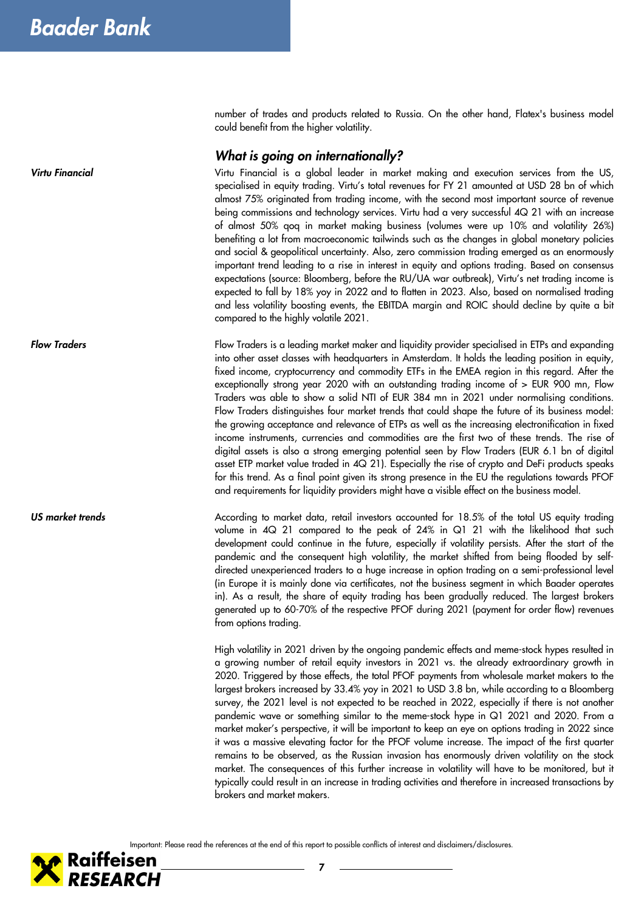*Virtu Financial*

*Flow Traders*

*US market trends*

number of trades and products related to Russia. On the other hand, Flatex's business model could benefit from the higher volatility.

#### *What is going on internationally?*

Virtu Financial is a global leader in market making and execution services from the US, specialised in equity trading. Virtu's total revenues for FY 21 amounted at USD 28 bn of which almost 75% originated from trading income, with the second most important source of revenue being commissions and technology services. Virtu had a very successful 4Q 21 with an increase of almost 50% qoq in market making business (volumes were up 10% and volatility 26%) benefiting a lot from macroeconomic tailwinds such as the changes in global monetary policies and social & geopolitical uncertainty. Also, zero commission trading emerged as an enormously important trend leading to a rise in interest in equity and options trading. Based on consensus expectations (source: Bloomberg, before the RU/UA war outbreak), Virtu's net trading income is expected to fall by 18% yoy in 2022 and to flatten in 2023. Also, based on normalised trading and less volatility boosting events, the EBITDA margin and ROIC should decline by quite a bit compared to the highly volatile 2021.

Flow Traders is a leading market maker and liquidity provider specialised in ETPs and expanding into other asset classes with headquarters in Amsterdam. It holds the leading position in equity, fixed income, cryptocurrency and commodity ETFs in the EMEA region in this regard. After the exceptionally strong year 2020 with an outstanding trading income of > EUR 900 mn, Flow Traders was able to show a solid NTI of EUR 384 mn in 2021 under normalising conditions. Flow Traders distinguishes four market trends that could shape the future of its business model: the growing acceptance and relevance of ETPs as well as the increasing electronification in fixed income instruments, currencies and commodities are the first two of these trends. The rise of digital assets is also a strong emerging potential seen by Flow Traders (EUR 6.1 bn of digital asset ETP market value traded in 4Q 21). Especially the rise of crypto and DeFi products speaks for this trend. As a final point given its strong presence in the EU the regulations towards PFOF and requirements for liquidity providers might have a visible effect on the business model.

According to market data, retail investors accounted for 18.5% of the total US equity trading volume in 4Q 21 compared to the peak of 24% in Q1 21 with the likelihood that such development could continue in the future, especially if volatility persists. After the start of the pandemic and the consequent high volatility, the market shifted from being flooded by selfdirected unexperienced traders to a huge increase in option trading on a semi-professional level (in Europe it is mainly done via certificates, not the business segment in which Baader operates in). As a result, the share of equity trading has been gradually reduced. The largest brokers generated up to 60-70% of the respective PFOF during 2021 (payment for order flow) revenues from options trading.

High volatility in 2021 driven by the ongoing pandemic effects and meme-stock hypes resulted in a growing number of retail equity investors in 2021 vs. the already extraordinary growth in 2020. Triggered by those effects, the total PFOF payments from wholesale market makers to the largest brokers increased by 33.4% yoy in 2021 to USD 3.8 bn, while according to a Bloomberg survey, the 2021 level is not expected to be reached in 2022, especially if there is not another pandemic wave or something similar to the meme-stock hype in Q1 2021 and 2020. From a market maker's perspective, it will be important to keep an eye on options trading in 2022 since it was a massive elevating factor for the PFOF volume increase. The impact of the first quarter remains to be observed, as the Russian invasion has enormously driven volatility on the stock market. The consequences of this further increase in volatility will have to be monitored, but it typically could result in an increase in trading activities and therefore in increased transactions by brokers and market makers.

Important: Please read the references at the end of this report to possible conflicts of interest and disclaimers/disclosures.



**7**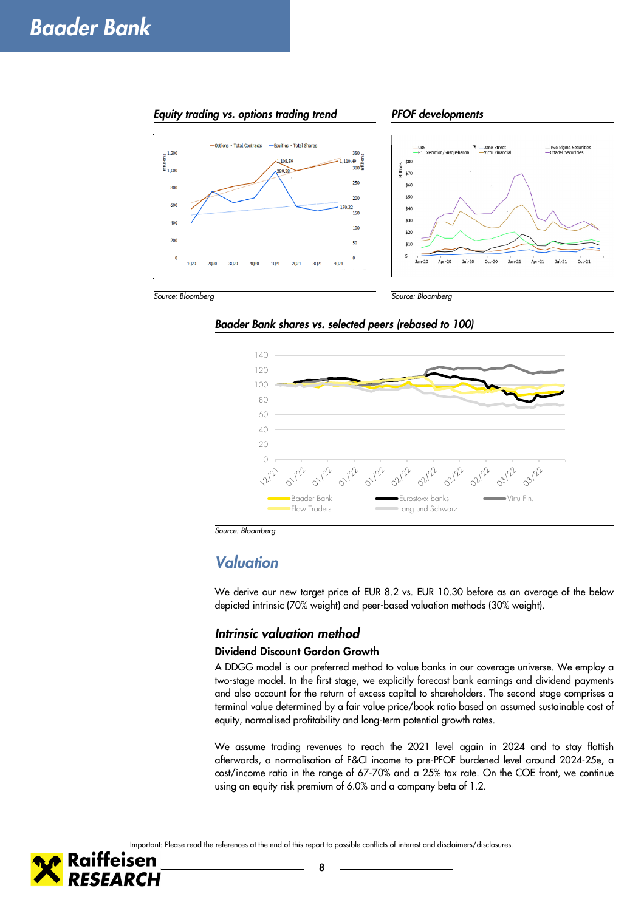

*Baader Bank shares vs. selected peers (rebased to 100)*



*Source: Bloomberg*

### *Valuation*

We derive our new target price of EUR 8.2 vs. EUR 10.30 before as an average of the below depicted intrinsic (70% weight) and peer-based valuation methods (30% weight).

#### *Intrinsic valuation method*

#### **Dividend Discount Gordon Growth**

A DDGG model is our preferred method to value banks in our coverage universe. We employ a two-stage model. In the first stage, we explicitly forecast bank earnings and dividend payments and also account for the return of excess capital to shareholders. The second stage comprises a terminal value determined by a fair value price/book ratio based on assumed sustainable cost of equity, normalised profitability and long-term potential growth rates.

We assume trading revenues to reach the 2021 level again in 2024 and to stay flattish afterwards, a normalisation of F&CI income to pre-PFOF burdened level around 2024-25e, a cost/income ratio in the range of 67-70% and a 25% tax rate. On the COE front, we continue using an equity risk premium of 6.0% and a company beta of 1.2.

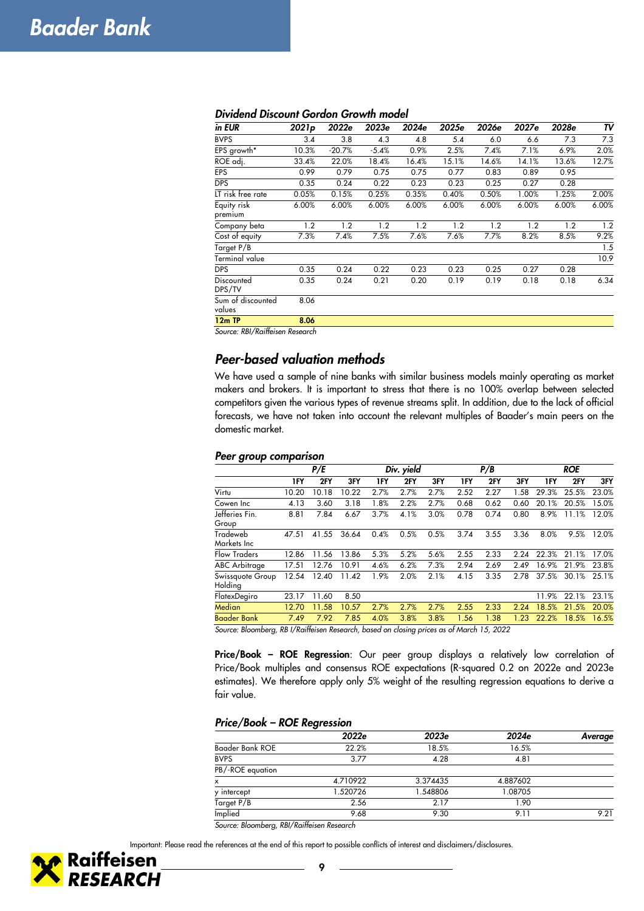| in EUR                      | 2021 <sub>p</sub> | 2022e    | 2023e   | 2024e | 2025e | 2026e | 2027e | 2028e | TV    |
|-----------------------------|-------------------|----------|---------|-------|-------|-------|-------|-------|-------|
| <b>BVPS</b>                 | 3.4               | 3.8      | 4.3     | 4.8   | 5.4   | 6.0   | 6.6   | 7.3   | 7.3   |
| EPS growth*                 | 10.3%             | $-20.7%$ | $-5.4%$ | 0.9%  | 2.5%  | 7.4%  | 7.1%  | 6.9%  | 2.0%  |
| ROE adj.                    | 33.4%             | 22.0%    | 18.4%   | 16.4% | 15.1% | 14.6% | 14.1% | 13.6% | 12.7% |
| <b>EPS</b>                  | 0.99              | 0.79     | 0.75    | 0.75  | 0.77  | 0.83  | 0.89  | 0.95  |       |
| <b>DPS</b>                  | 0.35              | 0.24     | 0.22    | 0.23  | 0.23  | 0.25  | 0.27  | 0.28  |       |
| LT risk free rate           | 0.05%             | 0.15%    | 0.25%   | 0.35% | 0.40% | 0.50% | 1.00% | 1.25% | 2.00% |
| Equity risk<br>premium      | 6.00%             | 6.00%    | 6.00%   | 6.00% | 6.00% | 6.00% | 6.00% | 6.00% | 6.00% |
| Company beta                | 1.2               | 1.2      | 1.2     | 1.2   | 1.2   | 1.2   | 1.2   | 1.2   | 1.2   |
| Cost of equity              | 7.3%              | 7.4%     | 7.5%    | 7.6%  | 7.6%  | 7.7%  | 8.2%  | 8.5%  | 9.2%  |
| Target P/B                  |                   |          |         |       |       |       |       |       | 1.5   |
| Terminal value              |                   |          |         |       |       |       |       |       | 10.9  |
| <b>DPS</b>                  | 0.35              | 0.24     | 0.22    | 0.23  | 0.23  | 0.25  | 0.27  | 0.28  |       |
| Discounted<br>DPS/TV        | 0.35              | 0.24     | 0.21    | 0.20  | 0.19  | 0.19  | 0.18  | 0.18  | 6.34  |
| Sum of discounted<br>values | 8.06              |          |         |       |       |       |       |       |       |
| 12m TP                      | 8.06              |          |         |       |       |       |       |       |       |

#### *Dividend Discount Gordon Growth model*

*Source: RBI/Raiffeisen Research* 

#### *Peer-based valuation methods*

We have used a sample of nine banks with similar business models mainly operating as market makers and brokers. It is important to stress that there is no 100% overlap between selected competitors given the various types of revenue streams split. In addition, due to the lack of official forecasts, we have not taken into account the relevant multiples of Baader's main peers on the domestic market.

#### *Peer group comparison*

|                                 | P/E                |           |       |      | Div. yield | P/B  |           |                 | <b>ROE</b> |       |       |       |
|---------------------------------|--------------------|-----------|-------|------|------------|------|-----------|-----------------|------------|-------|-------|-------|
|                                 | 1FY                | 2FY       | 3FY   | 1FY  | 2FY        | 3FY  | 1FY       | 2FY             | 3FY        | 1FY   | 2FY   | 3FY   |
| Virtu                           | 10.20              | 10.18     | 10.22 | 2.7% | 2.7%       | 2.7% | 2.52      | 2.27            | 1.58       | 29.3% | 25.5% | 23.0% |
| Cowen Inc                       | 4.13               | 3.60      | 3.18  | 1.8% | 2.2%       | 2.7% | 0.68      | 0.62            | 0.60       | 20.1% | 20.5% | 15.0% |
| Jefferies Fin.<br>Group         | 8.81               | 7.84      | 6.67  | 3.7% | 4.1%       | 3.0% | 0.78      | 0.74            | 0.80       | 8.9%  | 11.1% | 12.0% |
| Tradeweb<br>Markets Inc         | 47.51              | 41.55     | 36.64 | 0.4% | 0.5%       | 0.5% | 3.74      | 3.55            | 3.36       | 8.0%  | 9.5%  | 12.0% |
| <b>Flow Traders</b>             | 12.86              | 11.56     | 13.86 | 5.3% | 5.2%       | 5.6% | 2.55      | 2.33            | 2.24       | 22.3% | 21.1% | 17.0% |
| <b>ABC</b> Arbitrage            | 17.51              | 12.76     | 10.91 | 4.6% | 6.2%       | 7.3% | 2.94      | 2.69            | 2.49       | 16.9% | 21.9% | 23.8% |
| Swissquote Group<br>Holding     | 12.54              | 12.40     | 11.42 | 1.9% | 2.0%       | 2.1% | 4.15      | 3.35            | 2.78       | 37.5% | 30.1% | 25.1% |
| FlatexDegiro                    | 23.17              | 11.60     | 8.50  |      |            |      |           |                 |            | 11.9% | 22.1% | 23.1% |
| Median                          | 12.70              | 11.58     | 10.57 | 2.7% | 2.7%       | 2.7% | 2.55      | 2.33            | 2.24       | 18.5% | 21.5% | 20.0% |
| Baader Bank<br>$\sim$<br>$\sim$ | 7.49<br>$nn/2$ $n$ | 7.92<br>- | 7.85  | 4.0% | 3.8%       | 3.8% | 1.56<br>. | 1.38<br>1.5.000 | 1.23       | 22.2% | 18.5% | 16.5% |

*Source: Bloomberg, RB I/Raiffeisen Research, based on closing prices as of March 15, 2022* 

**Price/Book – ROE Regression**: Our peer group displays a relatively low correlation of Price/Book multiples and consensus ROE expectations (R-squared 0.2 on 2022e and 2023e estimates). We therefore apply only 5% weight of the resulting regression equations to derive a fair value.

#### *Price/Book – ROE Regression*

|                  | 2022e    | 2023e    | 2024e    | Average |
|------------------|----------|----------|----------|---------|
| Baader Bank ROE  | 22.2%    | 18.5%    | 16.5%    |         |
| <b>BVPS</b>      | 3.77     | 4.28     | 4.81     |         |
| PB/-ROE equation |          |          |          |         |
| x                | 4.710922 | 3.374435 | 4.887602 |         |
| y intercept      | 1.520726 | 1.548806 | 1.08705  |         |
| Target P/B       | 2.56     | 2.17     | 1.90     |         |
| Implied          | 9.68     | 9.30     | 9.11     | 9.21    |

*Source: Bloomberg, RBI/Raiffeisen Research* 

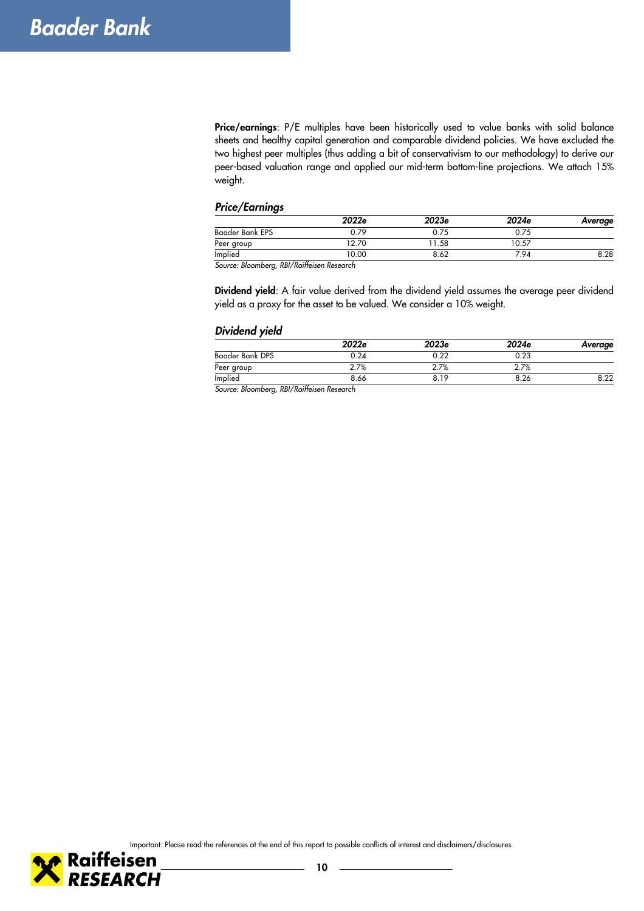**Price/earnings**: P/E multiples have been historically used to value banks with solid balance sheets and healthy capital generation and comparable dividend policies. We have excluded the two highest peer multiples (thus adding a bit of conservativism to our methodology) to derive our peer-based valuation range and applied our mid-term bottom-line projections. We attach 15% weight.

#### *Price/Earnings*

|                                    | 2022e       | 2023e | 2024e | Average |
|------------------------------------|-------------|-------|-------|---------|
| Baader Bank EPS                    | 0.79        | 0.75  | 0.75  |         |
| Peer group                         | 12.70       | 1.58  | 10.57 |         |
| Implied                            | 0.00        | 8.62  | 7.94  | 8.28    |
| $\sim$ $\sim$ $\sim$ $\sim$ $\sim$ | ل مان المان |       |       |         |

*Source: Bloomberg, RBI/Raiffeisen Research* 

**Dividend yield**: A fair value derived from the dividend yield assumes the average peer dividend yield as a proxy for the asset to be valued. We consider a 10% weight.

#### *Dividend yield*

|                 | 2022e | 2023e | 2024e | Average |
|-----------------|-------|-------|-------|---------|
| Baader Bank DPS | 0.24  | 0.22  | 0.23  |         |
| Peer group      | 2.7%  | 2.7%  | 2.7%  |         |
| Implied         | 8.66  | 8.19  | 8.26  | 8.22    |

*Source: Bloomberg, RBI/Raiffeisen Research* 

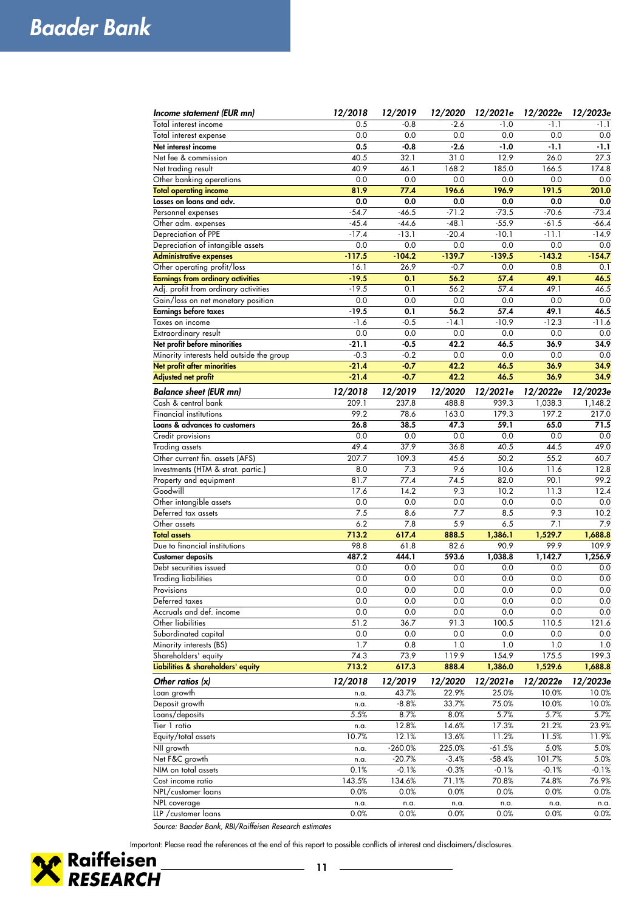| Income statement (EUR mn)                 | 12/2018  | 12/2019   | 12/2020  | 12/2021e | 12/2022e | 12/2023e |
|-------------------------------------------|----------|-----------|----------|----------|----------|----------|
| Total interest income                     | 0.5      | $-0.8$    | $-2.6$   | $-1.0$   | $-1.1$   | $-1.1$   |
| Total interest expense                    | 0.0      | 0.0       | 0.0      | 0.0      | 0.0      | 0.0      |
| Net interest income                       | 0.5      | $-0.8$    | $-2.6$   | $-1.0$   | $-1.1$   | $-1.1$   |
| Net fee & commission                      | 40.5     | 32.1      | 31.0     | 12.9     | 26.0     | 27.3     |
| Net trading result                        | 40.9     | 46.1      | 168.2    | 185.0    | 166.5    | 174.8    |
| Other banking operations                  | 0.0      | 0.0       | 0.0      | 0.0      | 0.0      | 0.0      |
| <b>Total operating income</b>             | 81.9     | 77.4      | 196.6    | 196.9    | 191.5    | 201.0    |
| Losses on loans and adv.                  | 0.0      | 0.0       | 0.0      | 0.0      | 0.0      | 0.0      |
| Personnel expenses                        | $-54.7$  | $-46.5$   | $-71.2$  | $-73.5$  | $-70.6$  | $-73.4$  |
| Other adm. expenses                       | $-45.4$  | $-44.6$   | $-48.1$  | $-55.9$  | $-61.5$  | $-66.4$  |
| Depreciation of PPE                       | $-17.4$  | $-13.1$   | $-20.4$  | $-10.1$  | $-11.1$  | $-14.9$  |
| Depreciation of intangible assets         | 0.0      | 0.0       | 0.0      | 0.0      | 0.0      | 0.0      |
| <b>Administrative expenses</b>            | $-117.5$ | $-104.2$  | $-139.7$ | $-139.5$ | $-143.2$ | $-154.7$ |
| Other operating profit/loss               | 16.1     | 26.9      | $-0.7$   | 0.0      | 0.8      | 0.1      |
| <b>Earnings from ordinary activities</b>  | $-19.5$  | 0.1       | 56.2     | 57.4     | 49.1     | 46.5     |
| Adj. profit from ordinary activities      | $-19.5$  | 0.1       | 56.2     | 57.4     | 49.1     | 46.5     |
| Gain/loss on net monetary position        | 0.0      | 0.0       | 0.0      | 0.0      | 0.0      | 0.0      |
| <b>Earnings before taxes</b>              | $-19.5$  | 0.1       | 56.2     | 57.4     | 49.1     | 46.5     |
| Taxes on income                           | $-1.6$   | $-0.5$    | $-14.1$  | $-10.9$  | $-12.3$  | $-11.6$  |
| Extraordinary result                      | 0.0      | 0.0       | 0.0      | 0.0      | 0.0      | 0.0      |
| Net profit before minorities              | $-21.1$  | $-0.5$    | 42.2     | 46.5     | 36.9     | 34.9     |
| Minority interests held outside the group | $-0.3$   | $-0.2$    | 0.0      | 0.0      | 0.0      | 0.0      |
| Net profit after minorities               | $-21.4$  | $-0.7$    | 42.2     | 46.5     | 36.9     | 34.9     |
| <b>Adjusted net profit</b>                | $-21.4$  | $-0.7$    | 42.2     | 46.5     | 36.9     | 34.9     |
| <b>Balance sheet (EUR mn)</b>             | 12/2018  | 12/2019   | 12/2020  | 12/2021e | 12/2022e | 12/2023e |
| Cash & central bank                       | 209.1    | 237.8     | 488.8    | 939.3    | 1.038.3  | 1,148.2  |
| Financial institutions                    | 99.2     | 78.6      | 163.0    | 179.3    | 197.2    | 217.0    |
| Loans & advances to customers             | 26.8     | 38.5      | 47.3     | 59.1     | 65.0     | 71.5     |
| Credit provisions                         | 0.0      | 0.0       | 0.0      | 0.0      | 0.0      | 0.0      |
| Trading assets                            | 49.4     | 37.9      | 36.8     | 40.5     | 44.5     | 49.0     |
| Other current fin. assets (AFS)           | 207.7    | 109.3     | 45.6     | 50.2     | 55.2     | 60.7     |
| Investments (HTM & strat. partic.)        | 8.0      | 7.3       | 9.6      | 10.6     | 11.6     | 12.8     |
| Property and equipment                    | 81.7     | 77.4      | 74.5     | 82.0     | 90.1     | 99.2     |
| Goodwill                                  | 17.6     | 14.2      | 9.3      | 10.2     | 11.3     | 12.4     |
| Other intangible assets                   | 0.0      | 0.0       | 0.0      | 0.0      | 0.0      | 0.0      |
| Deferred tax assets                       | 7.5      | 8.6       | 7.7      | 8.5      | 9.3      | 10.2     |
| Other assets                              | 6.2      | 7.8       | 5.9      | 6.5      | 7.1      | 7.9      |
| <b>Total assets</b>                       | 713.2    | 617.4     | 888.5    | 1,386.1  | 1,529.7  | 1,688.8  |
| Due to financial institutions             | 98.8     | 61.8      | 82.6     | 90.9     | 99.9     | 109.9    |
| <b>Customer deposits</b>                  | 487.2    | 444.1     | 593.6    | 1,038.8  | 1,142.7  | 1,256.9  |
| Debt securities issued                    | 0.0      | 0.0       | 0.0      | 0.0      | 0.0      | 0.0      |
| <b>Trading liabilities</b>                | 0.0      | 0.0       | 0.0      | 0.0      | 0.0      | 0.0      |
| Provisions                                | 0.0      | 0.0       | 0.0      | 0.0      | 0.0      | 0.0      |
| Deferred taxes                            | 0.0      | 0.0       | 0.0      | 0.0      | 0.0      | 0.0      |
| Accruals and def. income                  | 0.0      | 0.0       | 0.0      | 0.0      | 0.0      | 0.0      |
| Other liabilities                         | 51.2     | 36.7      | 91.3     | 100.5    | 110.5    | 121.6    |
| Subordinated capital                      | 0.0      | 0.0       | 0.0      | 0.0      | 0.0      | 0.0      |
| Minority interests (BS)                   | 1.7      | 0.8       | 1.0      | 1.0      | 1.0      | 1.0      |
| Shareholders' equity                      | 74.3     | 73.9      | 119.9    | 154.9    | 175.5    | 199.3    |
| Liabilities & shareholders' equity        | 713.2    | 617.3     | 888.4    | 1,386.0  | 1,529.6  | 1,688.8  |
| Other ratios $(x)$                        | 12/2018  | 12/2019   | 12/2020  | 12/2021e | 12/2022e | 12/2023e |
| Loan growth                               | n.a.     | 43.7%     | 22.9%    | 25.0%    | 10.0%    | 10.0%    |
| Deposit growth                            | n.a.     | $-8.8%$   | 33.7%    | 75.0%    | 10.0%    | 10.0%    |
| Loans/deposits                            | 5.5%     | 8.7%      | 8.0%     | 5.7%     | 5.7%     | 5.7%     |
| Tier 1 ratio                              | n.a.     | 12.8%     | 14.6%    | 17.3%    | 21.2%    | 23.9%    |
| Equity/total assets                       | 10.7%    | 12.1%     | 13.6%    | 11.2%    | 11.5%    | 11.9%    |
| NII growth                                | n.a.     | $-260.0%$ | 225.0%   | $-61.5%$ | 5.0%     | 5.0%     |
| Net F&C growth                            | n.a.     | $-20.7%$  | $-3.4%$  | $-58.4%$ | 101.7%   | 5.0%     |
| NIM on total assets                       | 0.1%     | $-0.1%$   | $-0.3%$  | $-0.1%$  | $-0.1%$  | $-0.1%$  |
| Cost income ratio                         | 143.5%   | 134.6%    | 71.1%    | 70.8%    | 74.8%    | 76.9%    |
| NPL/customer loans                        | 0.0%     | 0.0%      | 0.0%     | 0.0%     | 0.0%     | 0.0%     |
| NPL coverage                              | n.a.     | n.a.      | n.a.     | n.a.     | n.a.     | n.a.     |
| LLP / customer loans                      | 0.0%     | 0.0%      | 0.0%     | 0.0%     | 0.0%     | 0.0%     |

*Source: Baader Bank, RBI/Raiffeisen Research estimates*

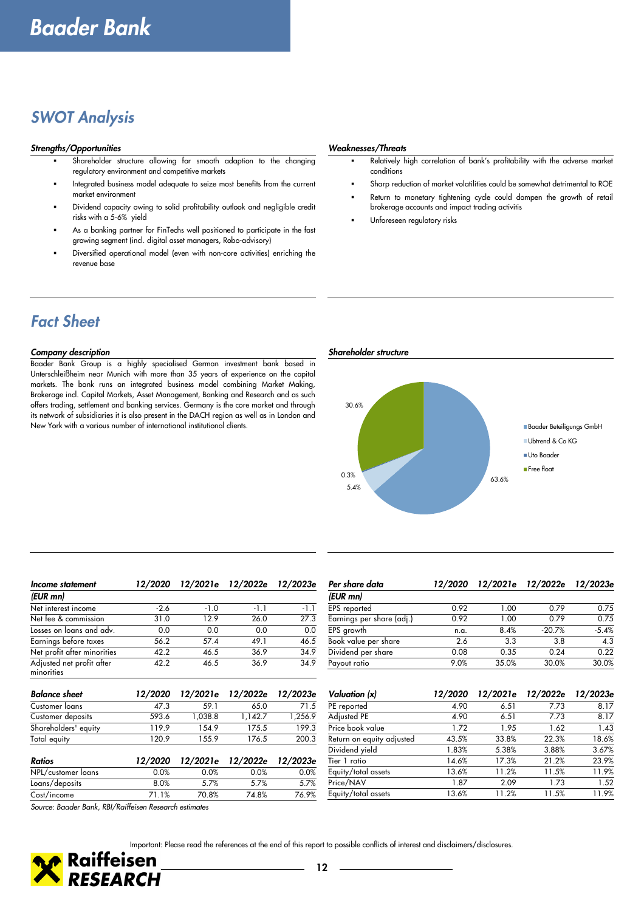### *SWOT Analysis*

#### *Strengths/Opportunities Weaknesses/Threats*

- Shareholder structure allowing for smooth adaption to the changing regulatory environment and competitive markets
- Integrated business model adequate to seize most benefits from the current market environment
- Dividend capacity owing to solid profitability outlook and negligible credit risks with a 5-6% yield
- As a banking partner for FinTechs well positioned to participate in the fast growing segment (incl. digital asset managers, Robo-advisory)
- Diversified operational model (even with non-core activities) enriching the revenue base

- Relatively high correlation of bank's profitability with the adverse market conditions
- Sharp reduction of market volatilities could be somewhat detrimental to ROE
- Return to monetary tightening cycle could dampen the growth of retail brokerage accounts and impact trading activitis
- Unforeseen regulatory risks

### *Fact Sheet*

#### *Company description Shareholder structure*

Baader Bank Group is a highly specialised German investment bank based in Unterschleißheim near Munich with more than 35 years of experience on the capital markets. The bank runs an integrated business model combining Market Making, Brokerage incl. Capital Markets, Asset Management, Banking and Research and as such offers trading, settlement and banking services. Germany is the core market and through its network of subsidiaries it is also present in the DACH region as well as in London and New York with a various number of international institutional clients.



| Income statement                        | 12/2020 | 12/2021e | 12/2022e | 12/2023e |
|-----------------------------------------|---------|----------|----------|----------|
| (EUR mn)                                |         |          |          |          |
| Net interest income                     | $-2.6$  | $-1.0$   | $-1.1$   | $-1.1$   |
| Net fee & commission                    | 31.0    | 12.9     | 26.0     | 27.3     |
| Losses on loans and adv.                | 0.0     | 0.0      | 0.0      | 0.0      |
| Earnings before taxes                   | 56.2    | 57.4     | 49.1     | 46.5     |
| Net profit after minorities             | 42.2    | 46.5     | 36.9     | 34.9     |
| Adjusted net profit after<br>minorities | 42.2    | 46.5     | 36.9     | 34.9     |
| <b>Balance sheet</b>                    | 12/2020 | 12/2021e | 12/2022e | 12/2023e |
| Customer loans                          | 47.3    | 59.1     | 65.0     | 71.5     |
| Customer deposits                       | 593.6   | 1,038.8  | 1,142.7  | 1,256.9  |
| Shareholders' equity                    | 119.9   | 154.9    | 175.5    | 199.3    |
| Total equity                            | 120.9   | 155.9    | 176.5    | 200.3    |
| <b>Ratios</b>                           | 12/2020 | 12/2021e | 12/2022e | 12/2023e |
| NPL/customer loans                      | 0.0%    | 0.0%     | 0.0%     | 0.0%     |
| Loans/deposits                          | 8.0%    | 5.7%     | 5.7%     | 5.7%     |
| Cost/income                             | 71.1%   | 70.8%    | 74.8%    | 76.9%    |

| Per share data            |      | 12/2020 12/2021e 12/2022e |          | 12/2023e |
|---------------------------|------|---------------------------|----------|----------|
| (EUR mn)                  |      |                           |          |          |
| EPS reported              | 0.92 | 1.00                      | 0.79     | 0.75     |
| Earnings per share (adj.) | 0.92 | 1.00                      | 0.79     | 0.75     |
| EPS growth                | n.a. | 8.4%                      | $-20.7%$ | $-5.4%$  |
| Book value per share      | 2.6  | 3.3                       | 3.8      | 4.3      |
| Dividend per share        | 0.08 | 0.35                      | 0.24     | 0.22     |
| Payout ratio              | 9.0% | 35.0%                     | 30.0%    | 30.0%    |
|                           |      |                           |          |          |

| Valuation (x)             | 12/2020 | 12/2021e | 12/2022e | 12/2023e |
|---------------------------|---------|----------|----------|----------|
| PE reported               | 4.90    | 6.51     | 7.73     | 8.17     |
| Adjusted PE               | 4.90    | 6.51     | 7.73     | 8.17     |
| Price book value          | 1.72    | 1.95     | 1.62     | 1.43     |
| Return on equity adjusted | 43.5%   | 33.8%    | 22.3%    | 18.6%    |
| Dividend yield            | 1.83%   | 5.38%    | 3.88%    | 3.67%    |
| Tier 1 ratio              | 14.6%   | 17.3%    | 21.2%    | 23.9%    |
| Equity/total assets       | 13.6%   | 11.2%    | 11.5%    | 11.9%    |
| Price/NAV                 | 1.87    | 2.09     | 1.73     | 1.52     |
| Equity/total assets       | 13.6%   | 11.2%    | 11.5%    | 11.9%    |

*Source: Baader Bank, RBI/Raiffeisen Research estimates*

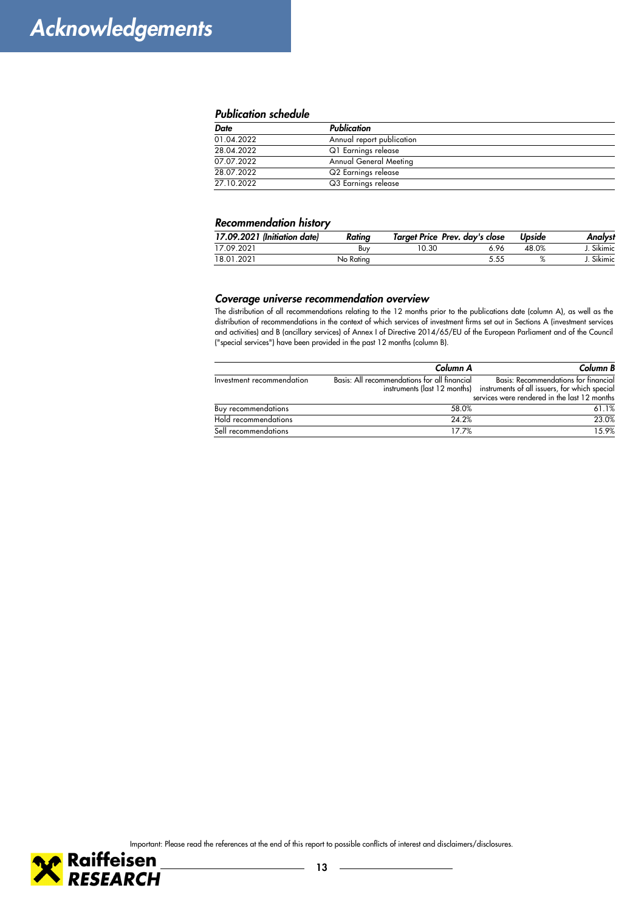#### *Publication schedule*

| <b>Date</b> | Publication                   |  |
|-------------|-------------------------------|--|
| 01.04.2022  | Annual report publication     |  |
| 28.04.2022  | Q1 Earnings release           |  |
| 07.07.2022  | <b>Annual General Meeting</b> |  |
| 28.07.2022  | Q2 Earnings release           |  |
| 27.10.2022  | Q3 Earnings release           |  |

#### *Recommendation history*

| 17.09.2021 (Initiation date) | Rating    | Target Price Prev. day's close |      | Upside | Analvst    |
|------------------------------|-----------|--------------------------------|------|--------|------------|
| 17.09.2021                   | Buy       | 10.30                          | 6.96 | 48.0%  | J. Sikimic |
| 18.01.2021                   | No Rating |                                | 5.55 |        | Sikimic    |

#### *Coverage universe recommendation overview*

The distribution of all recommendations relating to the 12 months prior to the publications date (column A), as well as the distribution of recommendations in the context of which services of investment firms set out in Sections A (investment services and activities) and B (ancillary services) of Annex I of Directive 2014/65/EU of the European Parliament and of the Council ("special services") have been provided in the past 12 months (column B).

|                            | Column A                                     | Column B                                                                   |
|----------------------------|----------------------------------------------|----------------------------------------------------------------------------|
| Investment recommendation  | Basis: All recommendations for all financial | Basis: Recommendations for financial                                       |
|                            |                                              | instruments (last 12 months) instruments of all issuers, for which special |
|                            |                                              | services were rendered in the last 12 months                               |
| <b>Buy recommendations</b> | 58.0%                                        | 61.1%                                                                      |
| Hold recommendations       | 24.2%                                        | 23.0%                                                                      |
| Sell recommendations       | 17.7%                                        | 1.5.9%                                                                     |





÷.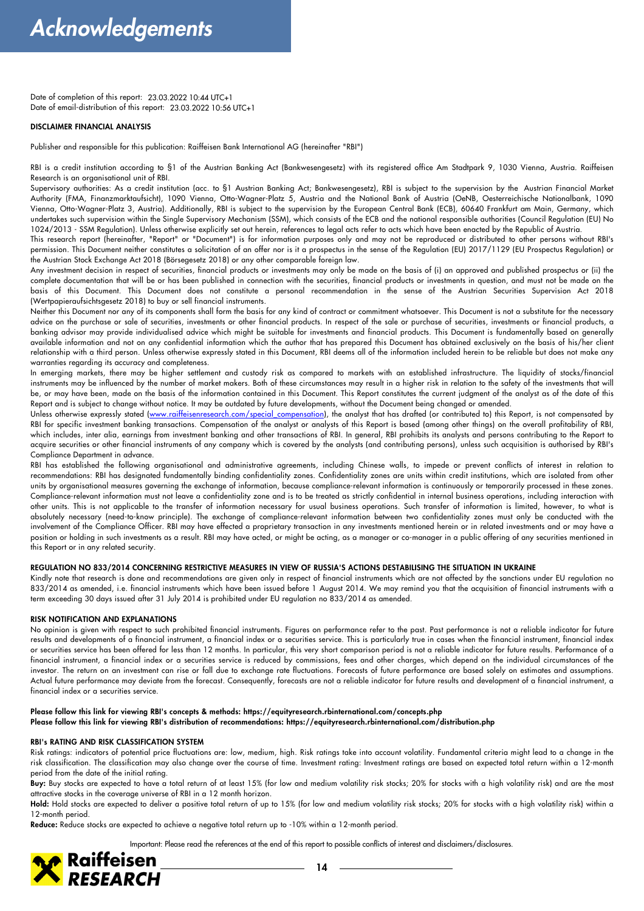Date of completion of this report: 23.03.2022 10:44 UTC+1 Date of email-distribution of this report: 23.03.2022 10:56 UTC+1

#### **DISCLAIMER FINANCIAL ANALYSIS**

Publisher and responsible for this publication: Raiffeisen Bank International AG (hereinafter "RBI")

RBI is a credit institution according to §1 of the Austrian Banking Act (Bankwesengesetz) with its registered office Am Stadtpark 9, 1030 Vienna, Austria. Raiffeisen Research is an organisational unit of RBI.

Supervisory authorities: As a credit institution (acc. to §1 Austrian Banking Act; Bankwesengesetz), RBI is subject to the supervision by the Austrian Financial Market Authority (FMA, Finanzmarktaufsicht), 1090 Vienna, Otto-Wagner-Platz 5, Austria and the National Bank of Austria (OeNB, Oesterreichische Nationalbank, 1090 Vienna, Otto-Wagner-Platz 3, Austria). Additionally, RBI is subject to the supervision by the European Central Bank (ECB), 60640 Frankfurt am Main, Germany, which undertakes such supervision within the Single Supervisory Mechanism (SSM), which consists of the ECB and the national responsible authorities (Council Regulation (EU) No 1024/2013 - SSM Regulation). Unless otherwise explicitly set out herein, references to legal acts refer to acts which have been enacted by the Republic of Austria.

This research report (hereinafter, "Report" or "Document") is for information purposes only and may not be reproduced or distributed to other persons without RBI's permission. This Document neither constitutes a solicitation of an offer nor is it a prospectus in the sense of the Regulation (EU) 2017/1129 (EU Prospectus Regulation) or the Austrian Stock Exchange Act 2018 (Börsegesetz 2018) or any other comparable foreign law.

Any investment decision in respect of securities, financial products or investments may only be made on the basis of (i) an approved and published prospectus or (ii) the complete documentation that will be or has been published in connection with the securities, financial products or investments in question, and must not be made on the basis of this Document. This Document does not constitute a personal recommendation in the sense of the Austrian Securities Supervision Act 2018 (Wertpapieraufsichtsgesetz 2018) to buy or sell financial instruments.

Neither this Document nor any of its components shall form the basis for any kind of contract or commitment whatsoever. This Document is not a substitute for the necessary advice on the purchase or sale of securities, investments or other financial products. In respect of the sale or purchase of securities, investments or financial products, a banking advisor may provide individualised advice which might be suitable for investments and financial products. This Document is fundamentally based on generally available information and not on any confidential information which the author that has prepared this Document has obtained exclusively on the basis of his/her client relationship with a third person. Unless otherwise expressly stated in this Document, RBI deems all of the information included herein to be reliable but does not make any warranties regarding its accuracy and completeness.

In emerging markets, there may be higher settlement and custody risk as compared to markets with an established infrastructure. The liquidity of stocks/financial instruments may be influenced by the number of market makers. Both of these circumstances may result in a higher risk in relation to the safety of the investments that will be, or may have been, made on the basis of the information contained in this Document. This Report constitutes the current judgment of the analyst as of the date of this Report and is subject to change without notice. It may be outdated by future developments, without the Document being changed or amended.

Unless otherwise expressly stated (www.raiffeisenresearch.com/special\_compensation), the analyst that has drafted (or contributed to) this Report, is not compensated by RBI for specific investment banking transactions. Compensation of the analyst or analysts of this Report is based (among other things) on the overall profitability of RBI, which includes, inter alia, earnings from investment banking and other transactions of RBI. In general, RBI prohibits its analysts and persons contributing to the Report to acquire securities or other financial instruments of any company which is covered by the analysts (and contributing persons), unless such acquisition is authorised by RBI's Compliance Department in advance.

RBI has established the following organisational and administrative agreements, including Chinese walls, to impede or prevent conflicts of interest in relation to recommendations: RBI has designated fundamentally binding confidentiality zones. Confidentiality zones are units within credit institutions, which are isolated from other units by organisational measures governing the exchange of information, because compliance-relevant information is continuously or temporarily processed in these zones. Compliance-relevant information must not leave a confidentiality zone and is to be treated as strictly confidential in internal business operations, including interaction with other units. This is not applicable to the transfer of information necessary for usual business operations. Such transfer of information is limited, however, to what is absolutely necessary (need-to-know principle). The exchange of compliance-relevant information between two confidentiality zones must only be conducted with the involvement of the Compliance Officer. RBI may have effected a proprietary transaction in any investments mentioned herein or in related investments and or may have a position or holding in such investments as a result. RBI may have acted, or might be acting, as a manager or co-manager in a public offering of any securities mentioned in this Report or in any related security.

#### **REGULATION NO 833/2014 CONCERNING RESTRICTIVE MEASURES IN VIEW OF RUSSIA'S ACTIONS DESTABILISING THE SITUATION IN UKRAINE**

Kindly note that research is done and recommendations are given only in respect of financial instruments which are not affected by the sanctions under EU regulation no 833/2014 as amended, i.e. financial instruments which have been issued before 1 August 2014. We may remind you that the acquisition of financial instruments with a term exceeding 30 days issued after 31 July 2014 is prohibited under EU regulation no 833/2014 as amended.

#### **RISK NOTIFICATION AND EXPLANATIONS**

No opinion is given with respect to such prohibited financial instruments. Figures on performance refer to the past. Past performance is not a reliable indicator for future results and developments of a financial instrument, a financial index or a securities service. This is particularly true in cases when the financial instrument, financial index or securities service has been offered for less than 12 months. In particular, this very short comparison period is not a reliable indicator for future results. Performance of a financial instrument, a financial index or a securities service is reduced by commissions, fees and other charges, which depend on the individual circumstances of the investor. The return on an investment can rise or fall due to exchange rate fluctuations. Forecasts of future performance are based solely on estimates and assumptions. Actual future performance may deviate from the forecast. Consequently, forecasts are not a reliable indicator for future results and development of a financial instrument, a financial index or a securities service.

#### **Please follow this link for viewing RBI's concepts & methods: https://equityresearch.rbinternational.com/concepts.php Please follow this link for viewing RBI's distribution of recommendations: https://equityresearch.rbinternational.com/distribution.php**

#### **RBI's RATING AND RISK CLASSIFICATION SYSTEM**

Risk ratings: indicators of potential price fluctuations are: low, medium, high. Risk ratings take into account volatility. Fundamental criteria might lead to a change in the risk classification. The classification may also change over the course of time. Investment rating: Investment ratings are based on expected total return within a 12-month period from the date of the initial rating.

**Buy:** Buy stocks are expected to have a total return of at least 15% (for low and medium volatility risk stocks; 20% for stocks with a high volatility risk) and are the most attractive stocks in the coverage universe of RBI in a 12 month horizon.

**Hold:** Hold stocks are expected to deliver a positive total return of up to 15% (for low and medium volatility risk stocks; 20% for stocks with a high volatility risk) within a 12-month period.

**Reduce:** Reduce stocks are expected to achieve a negative total return up to -10% within a 12-month period.

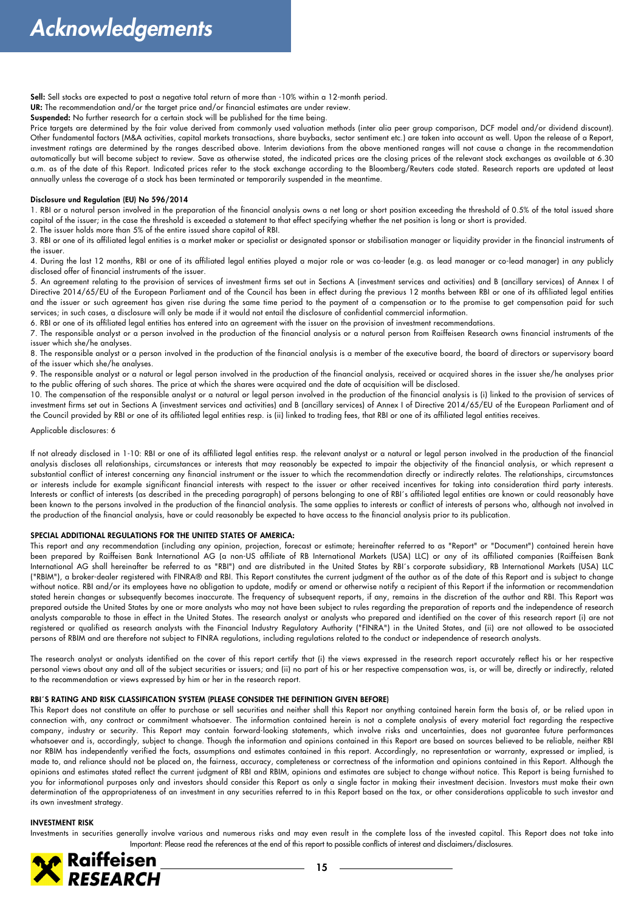**Sell:** Sell stocks are expected to post a negative total return of more than -10% within a 12-month period.

UR: The recommendation and/or the target price and/or financial estimates are under review.

**Suspended:** No further research for a certain stock will be published for the time being.

Price targets are determined by the fair value derived from commonly used valuation methods (inter alia peer group comparison, DCF model and/or dividend discount). Other fundamental factors (M&A activities, capital markets transactions, share buybacks, sector sentiment etc.) are taken into account as well. Upon the release of a Report, investment ratings are determined by the ranges described above. Interim deviations from the above mentioned ranges will not cause a change in the recommendation automatically but will become subject to review. Save as otherwise stated, the indicated prices are the closing prices of the relevant stock exchanges as available at 6.30 a.m. as of the date of this Report. Indicated prices refer to the stock exchange according to the Bloomberg/Reuters code stated. Research reports are updated at least annually unless the coverage of a stock has been terminated or temporarily suspended in the meantime.

#### **Disclosure und Regulation (EU) No 596/2014**

1. RBI or a natural person involved in the preparation of the financial analysis owns a net long or short position exceeding the threshold of 0.5% of the total issued share capital of the issuer; in the case the threshold is exceeded a statement to that effect specifying whether the net position is long or short is provided.

2. The issuer holds more than 5% of the entire issued share capital of RBI.

3. RBI or one of its affiliated legal entities is a market maker or specialist or designated sponsor or stabilisation manager or liquidity provider in the financial instruments of the issuer.

4. During the last 12 months, RBI or one of its affiliated legal entities played a major role or was co-leader (e.g. as lead manager or co-lead manager) in any publicly disclosed offer of financial instruments of the issuer.

5. An agreement relating to the provision of services of investment firms set out in Sections A (investment services and activities) and B (ancillary services) of Annex I of Directive 2014/65/EU of the European Parliament and of the Council has been in effect during the previous 12 months between RBI or one of its affiliated legal entities and the issuer or such agreement has given rise during the same time period to the payment of a compensation or to the promise to get compensation paid for such services; in such cases, a disclosure will only be made if it would not entail the disclosure of confidential commercial information.

6. RBI or one of its affiliated legal entities has entered into an agreement with the issuer on the provision of investment recommendations.

7. The responsible analyst or a person involved in the production of the financial analysis or a natural person from Raiffeisen Research owns financial instruments of the issuer which she/he analyses.

8. The responsible analyst or a person involved in the production of the financial analysis is a member of the executive board, the board of directors or supervisory board of the issuer which she/he analyses.

9. The responsible analyst or a natural or legal person involved in the production of the financial analysis, received or acquired shares in the issuer she/he analyses prior to the public offering of such shares. The price at which the shares were acquired and the date of acquisition will be disclosed.

10. The compensation of the responsible analyst or a natural or legal person involved in the production of the financial analysis is (i) linked to the provision of services of investment firms set out in Sections A (investment services and activities) and B (ancillary services) of Annex I of Directive 2014/65/EU of the European Parliament and of the Council provided by RBI or one of its affiliated legal entities resp. is (ii) linked to trading fees, that RBI or one of its affiliated legal entities receives.

#### Applicable disclosures: 6

If not already disclosed in 1-10: RBI or one of its affiliated legal entities resp. the relevant analyst or a natural or legal person involved in the production of the financial analysis discloses all relationships, circumstances or interests that may reasonably be expected to impair the objectivity of the financial analysis, or which represent a substantial conflict of interest concerning any financial instrument or the issuer to which the recommendation directly or indirectly relates. The relationships, circumstances or interests include for example significant financial interests with respect to the issuer or other received incentives for taking into consideration third party interests. Interests or conflict of interests (as described in the preceding paragraph) of persons belonging to one of RBI´s affiliated legal entities are known or could reasonably have been known to the persons involved in the production of the financial analysis. The same applies to interests or conflict of interests of persons who, although not involved in the production of the financial analysis, have or could reasonably be expected to have access to the financial analysis prior to its publication.

#### **SPECIAL ADDITIONAL REGULATIONS FOR THE UNITED STATES OF AMERICA:**

This report and any recommendation (including any opinion, projection, forecast or estimate; hereinafter referred to as "Report" or "Document") contained herein have been prepared by Raiffeisen Bank International AG (a non-US affiliate of RB International Markets (USA) LLC) or any of its affiliated companies (Raiffeisen Bank International AG shall hereinafter be referred to as "RBI") and are distributed in the United States by RBI´s corporate subsidiary, RB International Markets (USA) LLC ("RBIM"), a broker-dealer registered with FINRA® and RBI. This Report constitutes the current judgment of the author as of the date of this Report and is subject to change without notice. RBI and/or its employees have no obligation to update, modify or amend or otherwise notify a recipient of this Report if the information or recommendation stated herein changes or subsequently becomes inaccurate. The frequency of subsequent reports, if any, remains in the discretion of the author and RBI. This Report was prepared outside the United States by one or more analysts who may not have been subject to rules regarding the preparation of reports and the independence of research analysts comparable to those in effect in the United States. The research analyst or analysts who prepared and identified on the cover of this research report (i) are not registered or qualified as research analysts with the Financial Industry Regulatory Authority ("FINRA") in the United States, and (ii) are not allowed to be associated persons of RBIM and are therefore not subject to FINRA regulations, including regulations related to the conduct or independence of research analysts.

The research analyst or analysts identified on the cover of this report certify that (i) the views expressed in the research report accurately reflect his or her respective personal views about any and all of the subject securities or issuers; and (ii) no part of his or her respective compensation was, is, or will be, directly or indirectly, related to the recommendation or views expressed by him or her in the research report.

#### **RBI´S RATING AND RISK CLASSIFICATION SYSTEM (PLEASE CONSIDER THE DEFINITION GIVEN BEFORE)**

This Report does not constitute an offer to purchase or sell securities and neither shall this Report nor anything contained herein form the basis of, or be relied upon in connection with, any contract or commitment whatsoever. The information contained herein is not a complete analysis of every material fact regarding the respective company, industry or security. This Report may contain forward-looking statements, which involve risks and uncertainties, does not guarantee future performances whatsoever and is, accordingly, subject to change. Though the information and opinions contained in this Report are based on sources believed to be reliable, neither RBI nor RBIM has independently verified the facts, assumptions and estimates contained in this report. Accordingly, no representation or warranty, expressed or implied, is made to, and reliance should not be placed on, the fairness, accuracy, completeness or correctness of the information and opinions contained in this Report. Although the opinions and estimates stated reflect the current judgment of RBI and RBIM, opinions and estimates are subject to change without notice. This Report is being furnished to you for informational purposes only and investors should consider this Report as only a single factor in making their investment decision. Investors must make their own determination of the appropriateness of an investment in any securities referred to in this Report based on the tax, or other considerations applicable to such investor and its own investment strategy.

#### **INVESTMENT RISK**

Important: Please read the references at the end of this report to possible conflicts of interest and disclaimers/disclosures.<br>
15 Investments in securities generally involve various and numerous risks and may even result in the complete loss of the invested capital. This Report does not take into

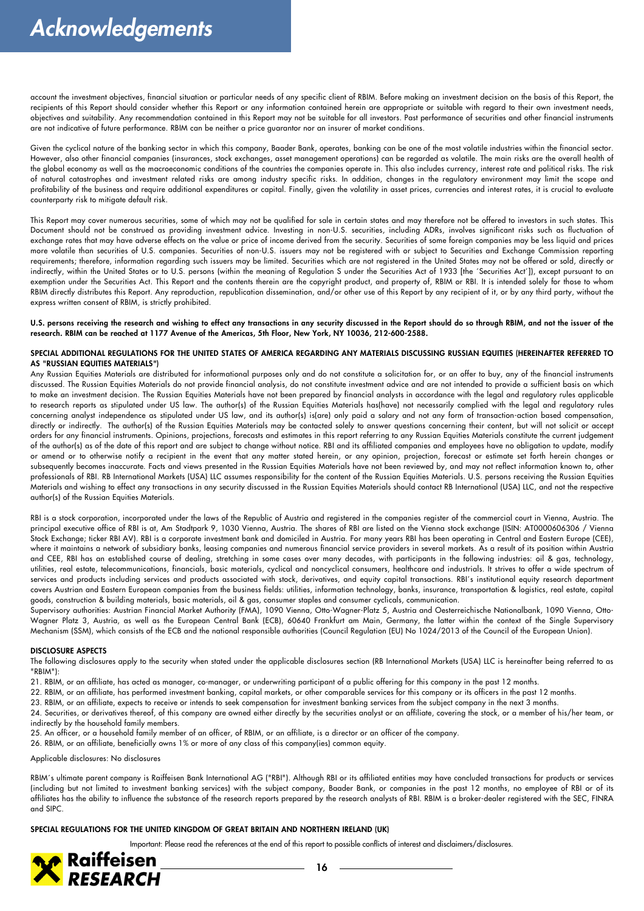account the investment objectives, financial situation or particular needs of any specific client of RBIM. Before making an investment decision on the basis of this Report, the recipients of this Report should consider whether this Report or any information contained herein are appropriate or suitable with regard to their own investment needs, objectives and suitability. Any recommendation contained in this Report may not be suitable for all investors. Past performance of securities and other financial instruments are not indicative of future performance. RBIM can be neither a price guarantor nor an insurer of market conditions.

Given the cyclical nature of the banking sector in which this company, Baader Bank, operates, banking can be one of the most volatile industries within the financial sector. However, also other financial companies (insurances, stock exchanges, asset management operations) can be regarded as volatile. The main risks are the overall health of the global economy as well as the macroeconomic conditions of the countries the companies operate in. This also includes currency, interest rate and political risks. The risk of natural catastrophes and investment related risks are among industry specific risks. In addition, changes in the regulatory environment may limit the scope and profitability of the business and require additional expenditures or capital. Finally, given the volatility in asset prices, currencies and interest rates, it is crucial to evaluate counterparty risk to mitigate default risk.

This Report may cover numerous securities, some of which may not be qualified for sale in certain states and may therefore not be offered to investors in such states. This Document should not be construed as providing investment advice. Investing in non-U.S. securities, including ADRs, involves significant risks such as fluctuation of exchange rates that may have adverse effects on the value or price of income derived from the security. Securities of some foreign companies may be less liquid and prices more volatile than securities of U.S. companies. Securities of non-U.S. issuers may not be registered with or subject to Securities and Exchange Commission reporting requirements; therefore, information regarding such issuers may be limited. Securities which are not registered in the United States may not be offered or sold, directly or indirectly, within the United States or to U.S. persons (within the meaning of Regulation S under the Securities Act of 1933 [the ´Securities Act´]), except pursuant to an exemption under the Securities Act. This Report and the contents therein are the copyright product, and property of, RBIM or RBI. It is intended solely for those to whom RBIM directly distributes this Report. Any reproduction, republication dissemination, and/or other use of this Report by any recipient of it, or by any third party, without the express written consent of RBIM, is strictly prohibited.

**U.S. persons receiving the research and wishing to effect any transactions in any security discussed in the Report should do so through RBIM, and not the issuer of the research. RBIM can be reached at 1177 Avenue of the Americas, 5th Floor, New York, NY 10036, 212-600-2588.**

#### **SPECIAL ADDITIONAL REGULATIONS FOR THE UNITED STATES OF AMERICA REGARDING ANY MATERIALS DISCUSSING RUSSIAN EQUITIES (HEREINAFTER REFERRED TO AS "RUSSIAN EQUITIES MATERIALS")**

Any Russian Equities Materials are distributed for informational purposes only and do not constitute a solicitation for, or an offer to buy, any of the financial instruments discussed. The Russian Equities Materials do not provide financial analysis, do not constitute investment advice and are not intended to provide a sufficient basis on which to make an investment decision. The Russian Equities Materials have not been prepared by financial analysts in accordance with the legal and regulatory rules applicable to research reports as stipulated under US law. The author(s) of the Russian Equities Materials has(have) not necessarily complied with the legal and regulatory rules concerning analyst independence as stipulated under US law, and its author(s) is(are) only paid a salary and not any form of transaction-action based compensation, directly or indirectly. The author(s) of the Russian Equities Materials may be contacted solely to answer questions concerning their content, but will not solicit or accept orders for any financial instruments. Opinions, projections, forecasts and estimates in this report referring to any Russian Equities Materials constitute the current judgement of the author(s) as of the date of this report and are subject to change without notice. RBI and its affiliated companies and employees have no obligation to update, modify or amend or to otherwise notify a recipient in the event that any matter stated herein, or any opinion, projection, forecast or estimate set forth herein changes or subsequently becomes inaccurate. Facts and views presented in the Russian Equities Materials have not been reviewed by, and may not reflect information known to, other professionals of RBI. RB International Markets (USA) LLC assumes responsibility for the content of the Russian Equities Materials. U.S. persons receiving the Russian Equities Materials and wishing to effect any transactions in any security discussed in the Russian Equities Materials should contact RB International (USA) LLC, and not the respective author(s) of the Russian Equities Materials.

RBI is a stock corporation, incorporated under the laws of the Republic of Austria and registered in the companies register of the commercial court in Vienna, Austria. The principal executive office of RBI is at, Am Stadtpark 9, 1030 Vienna, Austria. The shares of RBI are listed on the Vienna stock exchange (ISIN: AT0000606306 / Vienna Stock Exchange; ticker RBI AV). RBI is a corporate investment bank and domiciled in Austria. For many years RBI has been operating in Central and Eastern Europe (CEE), where it maintains a network of subsidiary banks, leasing companies and numerous financial service providers in several markets. As a result of its position within Austria and CEE, RBI has an established course of dealing, stretching in some cases over many decades, with participants in the following industries: oil & gas, technology, utilities, real estate, telecommunications, financials, basic materials, cyclical and noncyclical consumers, healthcare and industrials. It strives to offer a wide spectrum of services and products including services and products associated with stock, derivatives, and equity capital transactions. RBI´s institutional equity research department covers Austrian and Eastern European companies from the business fields: utilities, information technology, banks, insurance, transportation & logistics, real estate, capital goods, construction & building materials, basic materials, oil & gas, consumer staples and consumer cyclicals, communication.

Supervisory authorities: Austrian Financial Market Authority (FMA), 1090 Vienna, Otto-Wagner-Platz 5, Austria and Oesterreichische Nationalbank, 1090 Vienna, Otto-Wagner Platz 3, Austria, as well as the European Central Bank (ECB), 60640 Frankfurt am Main, Germany, the latter within the context of the Single Supervisory Mechanism (SSM), which consists of the ECB and the national responsible authorities (Council Regulation (EU) No 1024/2013 of the Council of the European Union).

#### **DISCLOSURE ASPECTS**

The following disclosures apply to the security when stated under the applicable disclosures section (RB International Markets (USA) LLC is hereinafter being referred to as "RBIM"):

21. RBIM, or an affiliate, has acted as manager, co-manager, or underwriting participant of a public offering for this company in the past 12 months.

22. RBIM, or an affiliate, has performed investment banking, capital markets, or other comparable services for this company or its officers in the past 12 months.

23. RBIM, or an affiliate, expects to receive or intends to seek compensation for investment banking services from the subject company in the next 3 months.

24. Securities, or derivatives thereof, of this company are owned either directly by the securities analyst or an affiliate, covering the stock, or a member of his/her team, or indirectly by the household family members.

25. An officer, or a household family member of an officer, of RBIM, or an affiliate, is a director or an officer of the company.

26. RBIM, or an affiliate, beneficially owns 1% or more of any class of this company(ies) common equity.

Applicable disclosures: No disclosures

RBIM´s ultimate parent company is Raiffeisen Bank International AG ("RBI"). Although RBI or its affiliated entities may have concluded transactions for products or services (including but not limited to investment banking services) with the subject company, Baader Bank, or companies in the past 12 months, no employee of RBI or of its affiliates has the ability to influence the substance of the research reports prepared by the research analysts of RBI. RBIM is a broker-dealer registered with the SEC, FINRA and SIPC.

#### **SPECIAL REGULATIONS FOR THE UNITED KINGDOM OF GREAT BRITAIN AND NORTHERN IRELAND (UK)**

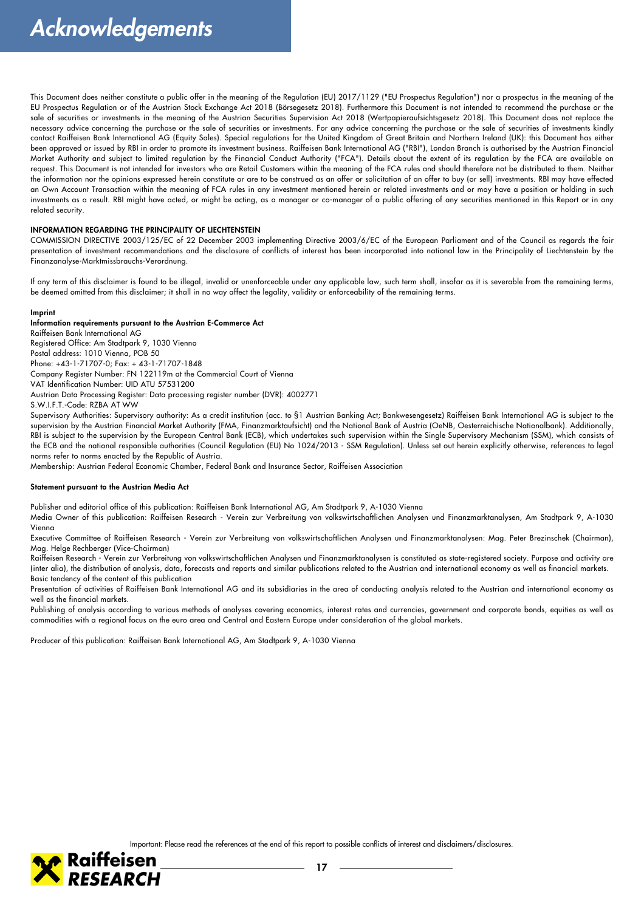This Document does neither constitute a public offer in the meaning of the Regulation (EU) 2017/1129 ("EU Prospectus Regulation") nor a prospectus in the meaning of the EU Prospectus Regulation or of the Austrian Stock Exchange Act 2018 (Börsegesetz 2018). Furthermore this Document is not intended to recommend the purchase or the sale of securities or investments in the meaning of the Austrian Securities Supervision Act 2018 (Wertpapieraufsichtsgesetz 2018). This Document does not replace the necessary advice concerning the purchase or the sale of securities or investments. For any advice concerning the purchase or the sale of securities of investments kindly contact Raiffeisen Bank International AG (Equity Sales). Special regulations for the United Kingdom of Great Britain and Northern Ireland (UK): this Document has either been approved or issued by RBI in order to promote its investment business. Raiffeisen Bank International AG ("RBI"), London Branch is authorised by the Austrian Financial Market Authority and subject to limited regulation by the Financial Conduct Authority ("FCA"). Details about the extent of its regulation by the FCA are available on request. This Document is not intended for investors who are Retail Customers within the meaning of the FCA rules and should therefore not be distributed to them. Neither the information nor the opinions expressed herein constitute or are to be construed as an offer or solicitation of an offer to buy (or sell) investments. RBI may have effected an Own Account Transaction within the meaning of FCA rules in any investment mentioned herein or related investments and or may have a position or holding in such investments as a result. RBI might have acted, or might be acting, as a manager or co-manager of a public offering of any securities mentioned in this Report or in any related security.

#### **INFORMATION REGARDING THE PRINCIPALITY OF LIECHTENSTEIN**

COMMISSION DIRECTIVE 2003/125/EC of 22 December 2003 implementing Directive 2003/6/EC of the European Parliament and of the Council as regards the fair presentation of investment recommendations and the disclosure of conflicts of interest has been incorporated into national law in the Principality of Liechtenstein by the Finanzanalyse-Marktmissbrauchs-Verordnung.

If any term of this disclaimer is found to be illegal, invalid or unenforceable under any applicable law, such term shall, insofar as it is severable from the remaining terms, be deemed omitted from this disclaimer; it shall in no way affect the legality, validity or enforceability of the remaining terms.

#### **Imprint**

#### **Information requirements pursuant to the Austrian E-Commerce Act**

Raiffeisen Bank International AG Registered Office: Am Stadtpark 9, 1030 Vienna Postal address: 1010 Vienna, POB 50 Phone: +43-1-71707-0; Fax: + 43-1-71707-1848 Company Register Number: FN 122119m at the Commercial Court of Vienna VAT Identification Number: UID ATU 57531200 Austrian Data Processing Register: Data processing register number (DVR): 4002771 S.W.I.F.T.-Code: RZBA AT WW

Supervisory Authorities: Supervisory authority: As a credit institution (acc. to §1 Austrian Banking Act; Bankwesengesetz) Raiffeisen Bank International AG is subject to the supervision by the Austrian Financial Market Authority (FMA, Finanzmarktaufsicht) and the National Bank of Austria (OeNB, Oesterreichische Nationalbank). Additionally, RBI is subject to the supervision by the European Central Bank (ECB), which undertakes such supervision within the Single Supervisory Mechanism (SSM), which consists of the ECB and the national responsible authorities (Council Regulation (EU) No 1024/2013 - SSM Regulation). Unless set out herein explicitly otherwise, references to legal norms refer to norms enacted by the Republic of Austria.

Membership: Austrian Federal Economic Chamber, Federal Bank and Insurance Sector, Raiffeisen Association

#### **Statement pursuant to the Austrian Media Act**

Publisher and editorial office of this publication: Raiffeisen Bank International AG, Am Stadtpark 9, A-1030 Vienna

Media Owner of this publication: Raiffeisen Research - Verein zur Verbreitung von volkswirtschaftlichen Analysen und Finanzmarktanalysen, Am Stadtpark 9, A-1030 Vienna

Executive Committee of Raiffeisen Research - Verein zur Verbreitung von volkswirtschaftlichen Analysen und Finanzmarktanalysen: Mag. Peter Brezinschek (Chairman), Mag. Helge Rechberger (Vice-Chairman)

Raiffeisen Research - Verein zur Verbreitung von volkswirtschaftlichen Analysen und Finanzmarktanalysen is constituted as state-registered society. Purpose and activity are (inter alia), the distribution of analysis, data, forecasts and reports and similar publications related to the Austrian and international economy as well as financial markets. Basic tendency of the content of this publication

Presentation of activities of Raiffeisen Bank International AG and its subsidiaries in the area of conducting analysis related to the Austrian and international economy as well as the financial markets.

Publishing of analysis according to various methods of analyses covering economics, interest rates and currencies, government and corporate bonds, equities as well as commodities with a regional focus on the euro area and Central and Eastern Europe under consideration of the global markets.

Producer of this publication: Raiffeisen Bank International AG, Am Stadtpark 9, A-1030 Vienna